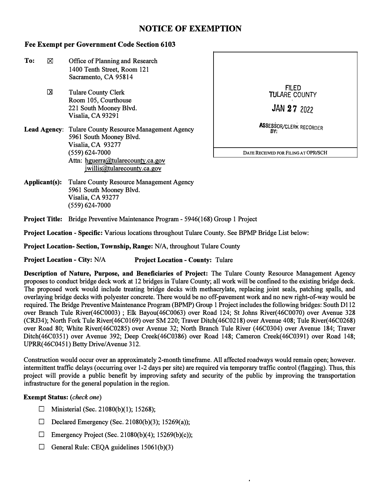# **NOTICE OF EXEMPTION**

## **Fee Exempt per Government Code Section 6103**

- To:  $\boxtimes$  Office of Planning and Research 1400 Tenth Street, Room 121 Sacramento, CA 95814
	- Tulare County Clerk Room 105, Courthouse 221 South Mooney Blvd. Visalia, CA 93291 x
- **Lead Agency:** Tulare County Resource Management Agency 5961 South Mooney Blvd. Visalia, CA 93277 (559) 624-7000 **DATE RECEIVED FOR FILING AT OPR/SCH**  Attn: hguerra@tularecounty.ca.gov jwillis@tularecounty.ca.gov



**Applicant(s):** Tulare County Resource Management Agency 5961 South Mooney Blvd. Visalia, CA 93277 (559) 624-7000

**Project Title:** Bridge Preventive Maintenance Program - 5946(168) Group 1 Project

**Project Location** - **Specific:** Various locations throughout Tulare County. See BPMP Bridge List below:

**Project Location- Section, Township, Range:** *NIA,* throughout Tulare County

**Project Location** - **City:** *NIA* **Project Location** - **County:** Tulare

**Description of Nature, Purpose, and Beneficiaries of Project:** The Tulare County Resource Management Agency proposes to conduct bridge deck work at 12 bridges in Tulare County; all work will be confined to the existing bridge deck. The proposed work would include treating bridge decks with methacrylate, replacing joint seals, patching spalls, and overlaying bridge decks with polyester concrete. There would be no off-pavement work and no new right-of-way would be required. The Bridge Preventive Maintenance Program (BPMP) Group 1 Project includes the following bridges: South Dl 12 over Branch Tule River(46C0003) ; Elk Bayou(46C0063) over Road 124; St Johns River(46C0070) over Avenue 328 (CRJ34); North Fork Tule River(46C0169) over SM 220; Traver Ditch(46C0218) over Avenue 408; Tule River(46C0268) over Road 80; White River(46C0285) over Avenue 32; North Branch Tule River (46C0304) over Avenue 184; Traver Ditch(46C0351) over Avenue 392; Deep Creek(46C0386) over Road 148; Cameron Creek(46C0391) over Road 148; UPRR(46C0451) Betty Drive/Avenue 312.

Construction would occur over an approximately 2-month timeframe. All affected roadways would remain open; however. intermittent traffic delays (occurring over 1-2 days per site) are required via temporary traffic control (flagging). Thus, this project will provide a public benefit by improving safety and security of the public by improving the transportation infrastructure for the general population in the region.

### **Exempt Status:** *(check one)*

- **D** Ministerial (Sec. 21080(b)(1); 15268);
- D Declared Emergency (Sec. 21080(b)(3); 15269(a));
- $\Box$  Emergency Project (Sec. 21080(b)(4); 15269(b)(c));
- $\Box$  General Rule: CEQA guidelines 15061(b)(3)